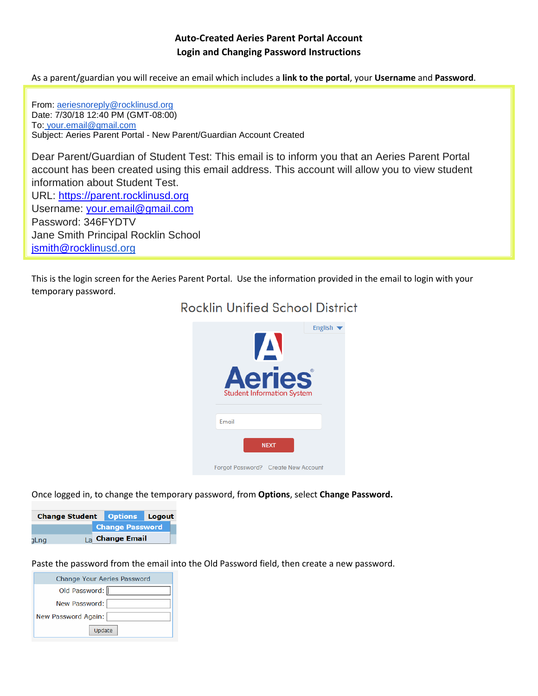# **Auto-Created Aeries Parent Portal Account Login and Changing Password Instructions**

As a parent/guardian you will receive an email which includes a **link to the portal**, your **Username** and **Password**.

From: [aeriesnoreply@rocklinusd.org](mailto:aeriesnoreply@rocklinusd.org) Date: 7/30/18 12:40 PM (GMT-08:00) To: your.email@gmail.com Subject: Aeries Parent Portal - New Parent/Guardian Account Created

Dear Parent/Guardian of Student Test: This email is to inform you that an Aeries Parent Portal account has been created using this email address. This account will allow you to view student information about Student Test. URL: [https://parent.rocklinusd.org](https://parent.rocklinusd.org/) Username: [your.email@gmail.com](mailto:your.email@gmail.com)

Password: 346FYDTV Jane Smith Principal Rocklin School [jsmith@rocklin](mailto:jsmith@rocklin)[usd.org](http://usd.org/)

This is the login screen for the Aeries Parent Portal. Use the information provided in the email to login with your temporary password.



# **Rocklin Unified School District**

Once logged in, to change the temporary password, from **Options**, select **Change Password.**

| <b>Change Student Options Logout</b> |  |                        |  |
|--------------------------------------|--|------------------------|--|
|                                      |  | <b>Change Password</b> |  |
| <b>aLng</b>                          |  | $1a$ Change Email      |  |

Paste the password from the email into the Old Password field, then create a new password.

| <b>Change Your Aeries Password</b> |
|------------------------------------|
| Old Password:                      |
| New Password:                      |
| New Password Again:                |
| Update                             |